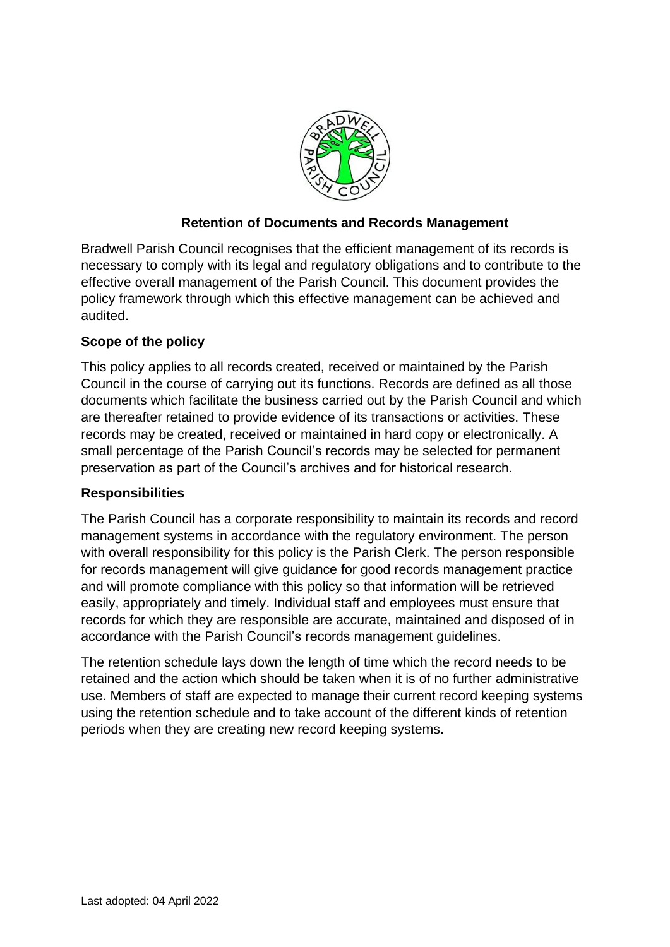

## **Retention of Documents and Records Management**

Bradwell Parish Council recognises that the efficient management of its records is necessary to comply with its legal and regulatory obligations and to contribute to the effective overall management of the Parish Council. This document provides the policy framework through which this effective management can be achieved and audited.

## **Scope of the policy**

This policy applies to all records created, received or maintained by the Parish Council in the course of carrying out its functions. Records are defined as all those documents which facilitate the business carried out by the Parish Council and which are thereafter retained to provide evidence of its transactions or activities. These records may be created, received or maintained in hard copy or electronically. A small percentage of the Parish Council's records may be selected for permanent preservation as part of the Council's archives and for historical research.

## **Responsibilities**

The Parish Council has a corporate responsibility to maintain its records and record management systems in accordance with the regulatory environment. The person with overall responsibility for this policy is the Parish Clerk. The person responsible for records management will give guidance for good records management practice and will promote compliance with this policy so that information will be retrieved easily, appropriately and timely. Individual staff and employees must ensure that records for which they are responsible are accurate, maintained and disposed of in accordance with the Parish Council's records management guidelines.

The retention schedule lays down the length of time which the record needs to be retained and the action which should be taken when it is of no further administrative use. Members of staff are expected to manage their current record keeping systems using the retention schedule and to take account of the different kinds of retention periods when they are creating new record keeping systems.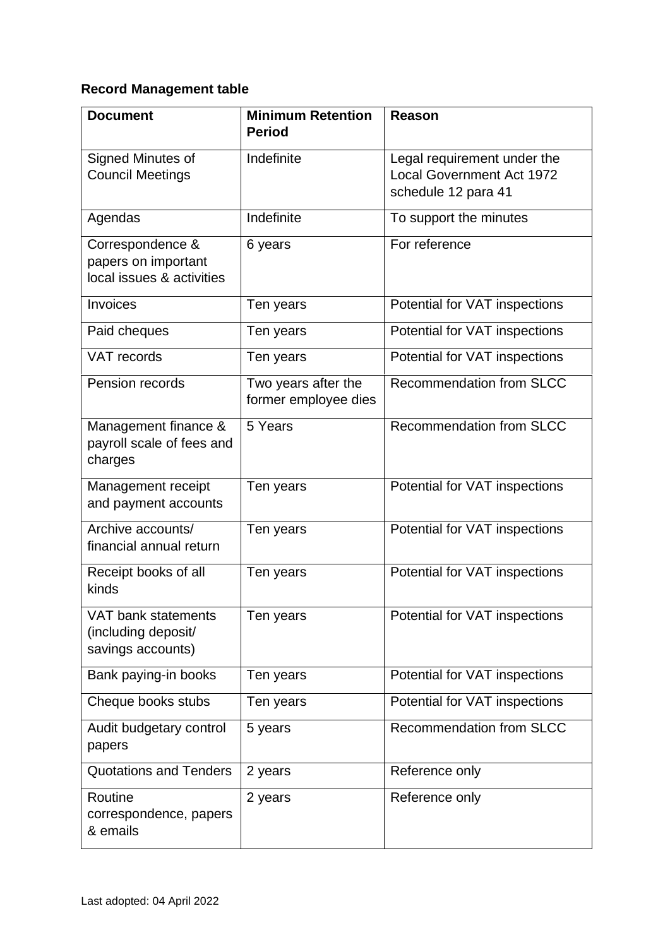## **Record Management table**

| <b>Document</b>                                                      | <b>Minimum Retention</b><br><b>Period</b>   | Reason                                                                                 |
|----------------------------------------------------------------------|---------------------------------------------|----------------------------------------------------------------------------------------|
| Signed Minutes of<br><b>Council Meetings</b>                         | Indefinite                                  | Legal requirement under the<br><b>Local Government Act 1972</b><br>schedule 12 para 41 |
| Agendas                                                              | Indefinite                                  | To support the minutes                                                                 |
| Correspondence &<br>papers on important<br>local issues & activities | 6 years                                     | For reference                                                                          |
| Invoices                                                             | Ten years                                   | Potential for VAT inspections                                                          |
| Paid cheques                                                         | Ten years                                   | Potential for VAT inspections                                                          |
| <b>VAT</b> records                                                   | Ten years                                   | Potential for VAT inspections                                                          |
| Pension records                                                      | Two years after the<br>former employee dies | Recommendation from SLCC                                                               |
| Management finance &<br>payroll scale of fees and<br>charges         | 5 Years                                     | Recommendation from SLCC                                                               |
| Management receipt<br>and payment accounts                           | Ten years                                   | Potential for VAT inspections                                                          |
| Archive accounts/<br>financial annual return                         | Ten years                                   | Potential for VAT inspections                                                          |
| Receipt books of all<br>kinds                                        | Ten years                                   | Potential for VAT inspections                                                          |
| VAT bank statements<br>(including deposit/<br>savings accounts)      | Ten years                                   | Potential for VAT inspections                                                          |
| Bank paying-in books                                                 | Ten years                                   | Potential for VAT inspections                                                          |
| Cheque books stubs                                                   | Ten years                                   | Potential for VAT inspections                                                          |
| Audit budgetary control<br>papers                                    | 5 years                                     | <b>Recommendation from SLCC</b>                                                        |
| <b>Quotations and Tenders</b>                                        | 2 years                                     | Reference only                                                                         |
| Routine<br>correspondence, papers<br>& emails                        | 2 years                                     | Reference only                                                                         |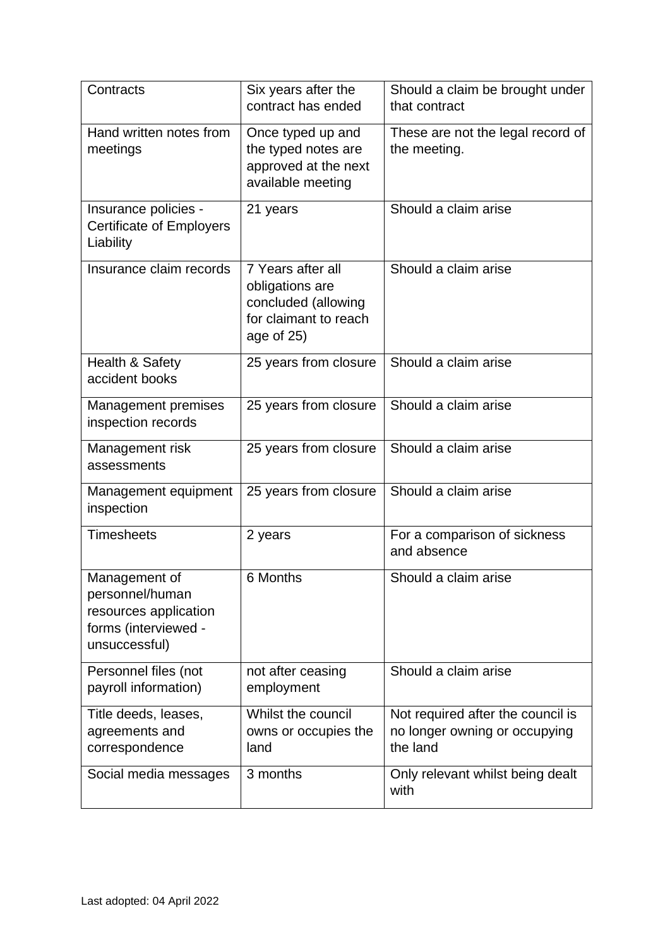| Contracts                                                                                          | Six years after the<br>contract has ended                                                          | Should a claim be brought under<br>that contract                               |
|----------------------------------------------------------------------------------------------------|----------------------------------------------------------------------------------------------------|--------------------------------------------------------------------------------|
| Hand written notes from<br>meetings                                                                | Once typed up and<br>the typed notes are<br>approved at the next<br>available meeting              | These are not the legal record of<br>the meeting.                              |
| Insurance policies -<br><b>Certificate of Employers</b><br>Liability                               | 21 years                                                                                           | Should a claim arise                                                           |
| Insurance claim records                                                                            | 7 Years after all<br>obligations are<br>concluded (allowing<br>for claimant to reach<br>age of 25) | Should a claim arise                                                           |
| Health & Safety<br>accident books                                                                  | 25 years from closure                                                                              | Should a claim arise                                                           |
| Management premises<br>inspection records                                                          | 25 years from closure                                                                              | Should a claim arise                                                           |
| Management risk<br>assessments                                                                     | 25 years from closure                                                                              | Should a claim arise                                                           |
| Management equipment<br>inspection                                                                 | 25 years from closure                                                                              | Should a claim arise                                                           |
| <b>Timesheets</b>                                                                                  | 2 years                                                                                            | For a comparison of sickness<br>and absence                                    |
| Management of<br>personnel/human<br>resources application<br>forms (interviewed -<br>unsuccessful) | 6 Months                                                                                           | Should a claim arise                                                           |
| Personnel files (not<br>payroll information)                                                       | not after ceasing<br>employment                                                                    | Should a claim arise                                                           |
| Title deeds, leases,<br>agreements and<br>correspondence                                           | Whilst the council<br>owns or occupies the<br>land                                                 | Not required after the council is<br>no longer owning or occupying<br>the land |
| Social media messages                                                                              | 3 months                                                                                           | Only relevant whilst being dealt<br>with                                       |